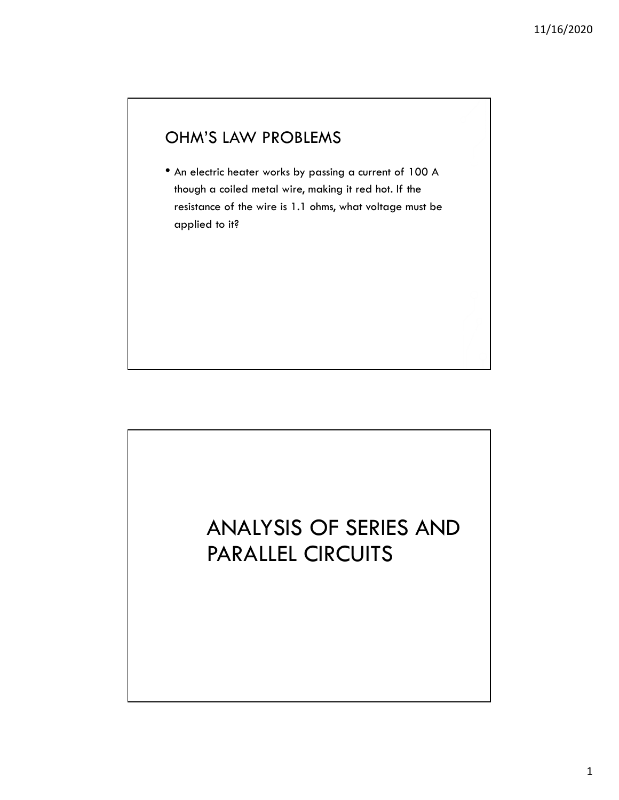## OHM'S LAW PROBLEMS

• An electric heater works by passing a current of 100 A though a coiled metal wire, making it red hot. If the resistance of the wire is 1.1 ohms, what voltage must be applied to it?

## ANALYSIS OF SERIES AND PARALLEL CIRCUITS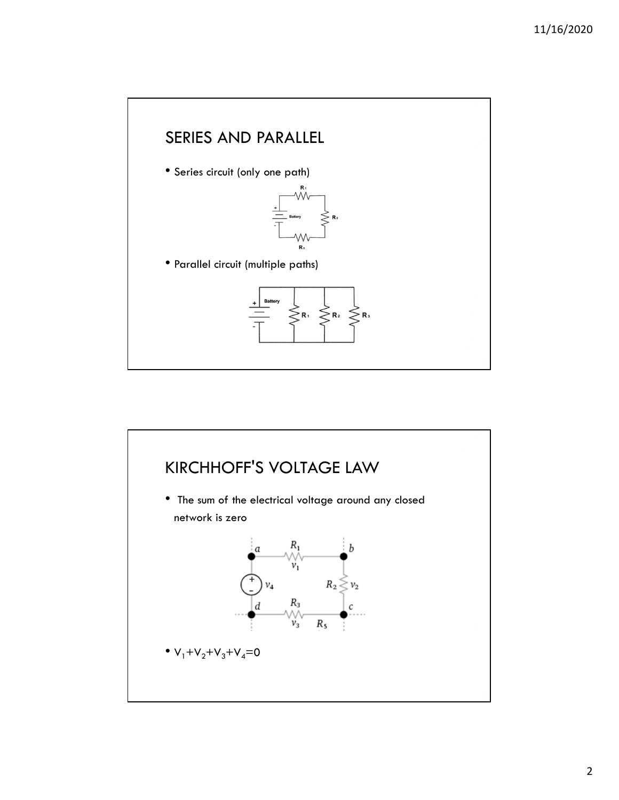

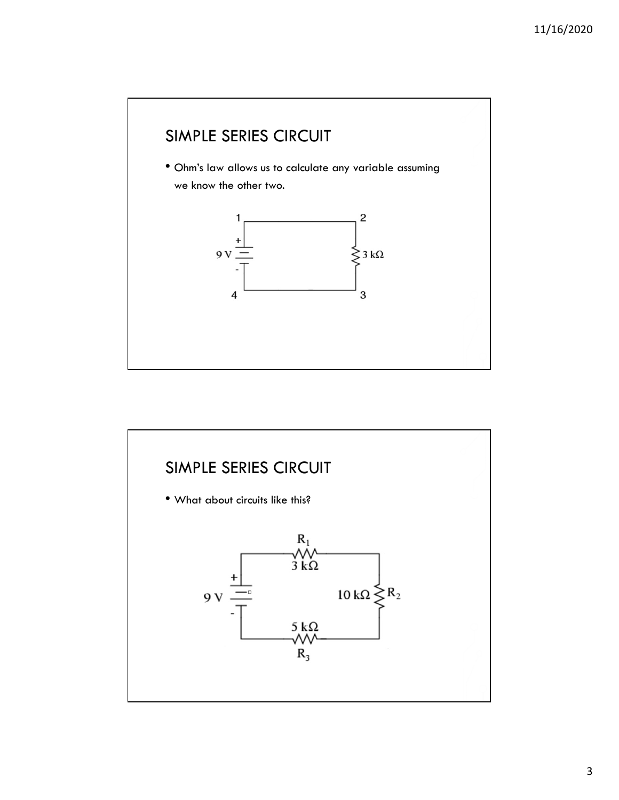

![](_page_2_Figure_2.jpeg)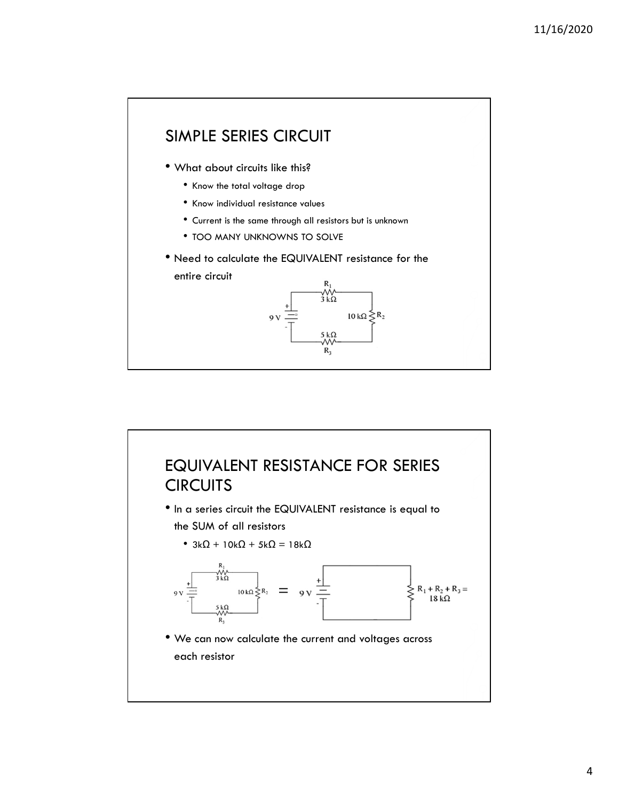![](_page_3_Figure_1.jpeg)

![](_page_3_Figure_2.jpeg)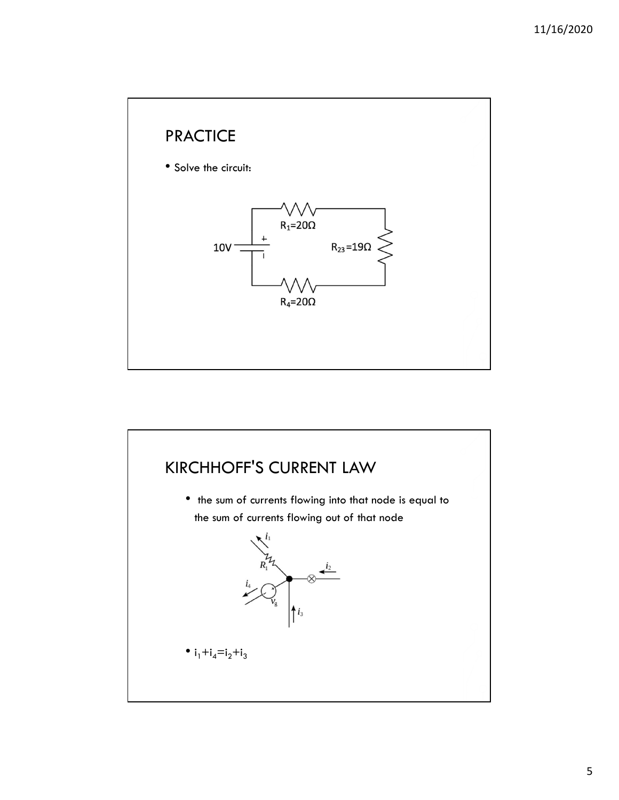![](_page_4_Figure_1.jpeg)

![](_page_4_Figure_2.jpeg)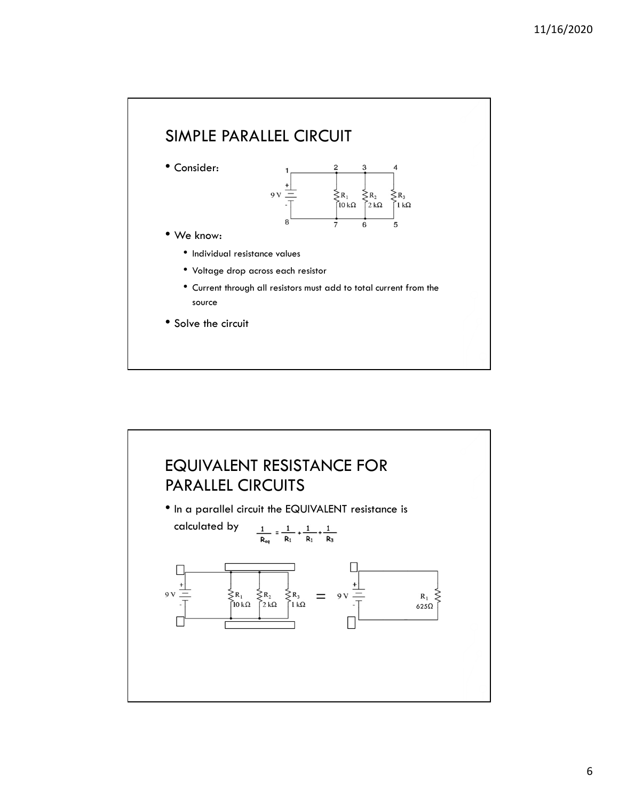![](_page_5_Figure_1.jpeg)

![](_page_5_Figure_2.jpeg)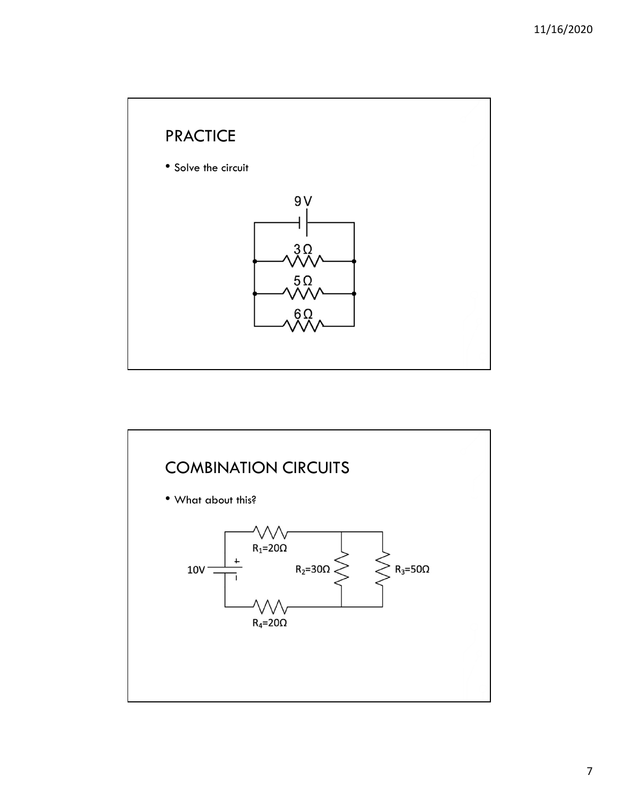![](_page_6_Figure_1.jpeg)

![](_page_6_Figure_2.jpeg)